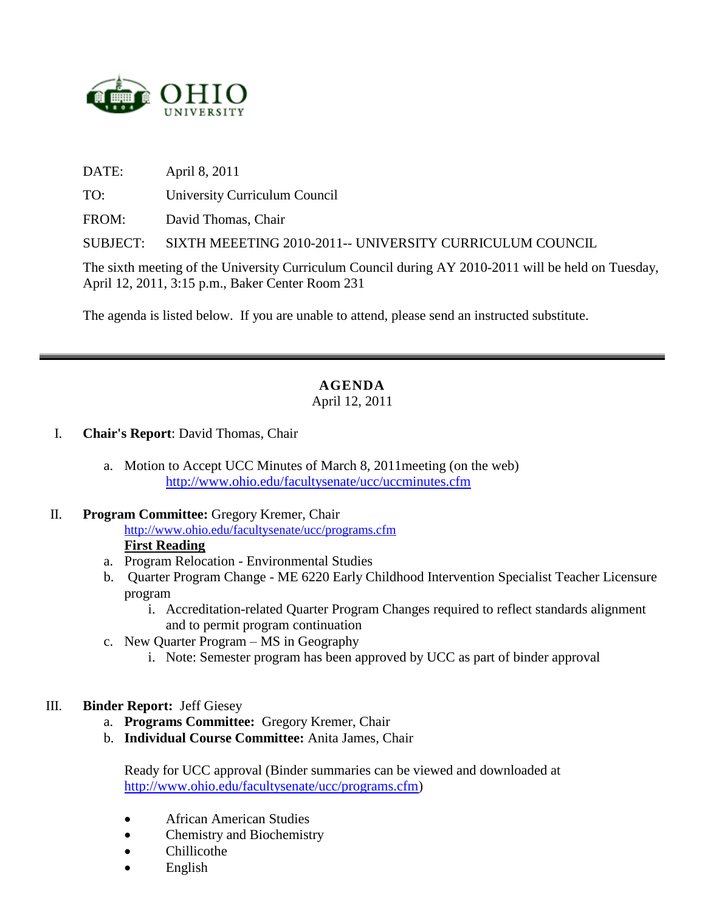

DATE: April 8, 2011

TO: University Curriculum Council

FROM: David Thomas, Chair

SUBJECT: SIXTH MEEETING 2010-2011-- UNIVERSITY CURRICULUM COUNCIL

The sixth meeting of the University Curriculum Council during AY 2010-2011 will be held on Tuesday, April 12, 2011, 3:15 p.m., Baker Center Room 231

The agenda is listed below. If you are unable to attend, please send an instructed substitute.

# **AGENDA**

### April 12, 2011

#### I. **Chair's Report**: David Thomas, Chair

a. Motion to Accept UCC Minutes of March 8, 2011meeting (on the web) <http://www.ohio.edu/facultysenate/ucc/uccminutes.cfm>

#### II. **Program Committee:** Gregory Kremer, Chair

<http://www.ohio.edu/facultysenate/ucc/programs.cfm> **First Reading**

- a. Program Relocation Environmental Studies
- b. Quarter Program Change ME 6220 Early Childhood Intervention Specialist Teacher Licensure program
	- i. Accreditation-related Quarter Program Changes required to reflect standards alignment and to permit program continuation
- c. New Quarter Program MS in Geography
	- i. Note: Semester program has been approved by UCC as part of binder approval

### III. **Binder Report:** Jeff Giesey

- a. **Programs Committee:** Gregory Kremer, Chair
- b. **Individual Course Committee:** Anita James, Chair

Ready for UCC approval (Binder summaries can be viewed and downloaded at [http://www.ohio.edu/facultysenate/ucc/programs.cfm\)](http://www.ohio.edu/facultysenate/ucc/programs.cfm)

- African American Studies
- Chemistry and Biochemistry
- Chillicothe
- English